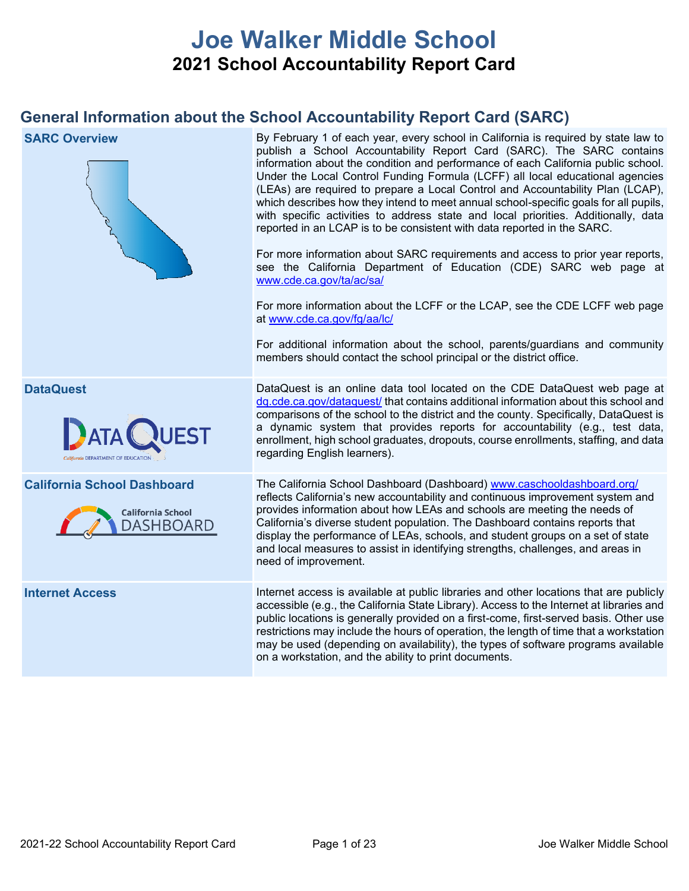# **Joe Walker Middle School 2021 School Accountability Report Card**

# **General Information about the School Accountability Report Card (SARC)**

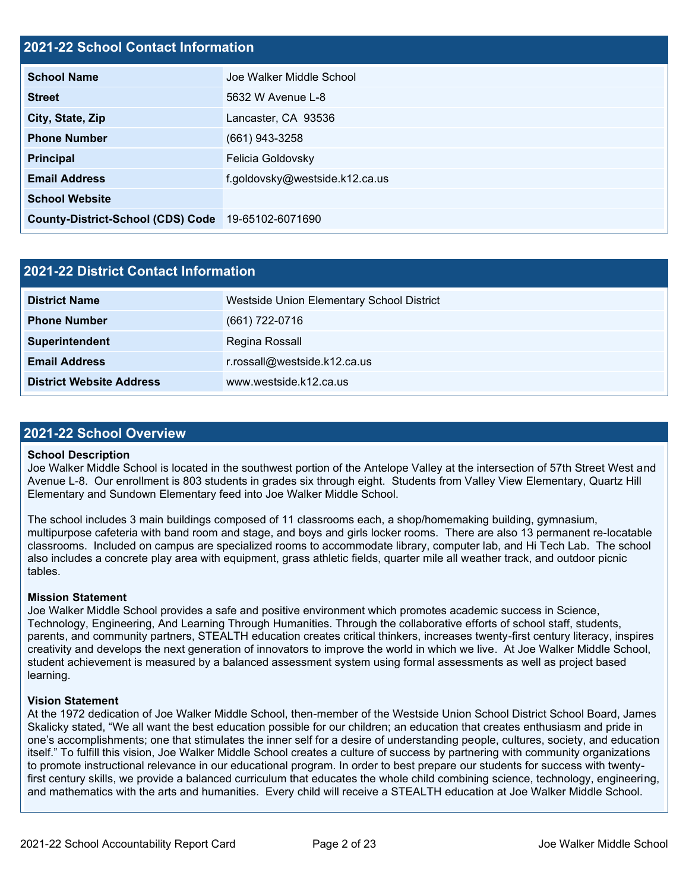#### **2021-22 School Contact Information**

| AVAT AA OCHOOL OOHIGOL IIIIOHIIGHOIL     |                                |
|------------------------------------------|--------------------------------|
| <b>School Name</b>                       | Joe Walker Middle School       |
| <b>Street</b>                            | 5632 W Avenue L-8              |
| City, State, Zip                         | Lancaster, CA 93536            |
| <b>Phone Number</b>                      | $(661)$ 943-3258               |
| <b>Principal</b>                         | Felicia Goldovsky              |
| <b>Email Address</b>                     | f.goldovsky@westside.k12.ca.us |
| <b>School Website</b>                    |                                |
| <b>County-District-School (CDS) Code</b> | 19-65102-6071690               |

| <b>2021-22 District Contact Information</b> |                                           |  |  |  |
|---------------------------------------------|-------------------------------------------|--|--|--|
| <b>District Name</b>                        | Westside Union Elementary School District |  |  |  |
| <b>Phone Number</b>                         | $(661) 722 - 0716$                        |  |  |  |
| Superintendent                              | Regina Rossall                            |  |  |  |
| <b>Email Address</b>                        | r.rossall@westside.k12.ca.us              |  |  |  |
| <b>District Website Address</b>             | www.westside.k12.ca.us                    |  |  |  |

#### **2021-22 School Overview**

#### **School Description**

Joe Walker Middle School is located in the southwest portion of the Antelope Valley at the intersection of 57th Street West and Avenue L-8. Our enrollment is 803 students in grades six through eight. Students from Valley View Elementary, Quartz Hill Elementary and Sundown Elementary feed into Joe Walker Middle School.

The school includes 3 main buildings composed of 11 classrooms each, a shop/homemaking building, gymnasium, multipurpose cafeteria with band room and stage, and boys and girls locker rooms. There are also 13 permanent re-locatable classrooms. Included on campus are specialized rooms to accommodate library, computer lab, and Hi Tech Lab. The school also includes a concrete play area with equipment, grass athletic fields, quarter mile all weather track, and outdoor picnic tables.

#### **Mission Statement**

Joe Walker Middle School provides a safe and positive environment which promotes academic success in Science, Technology, Engineering, And Learning Through Humanities. Through the collaborative efforts of school staff, students, parents, and community partners, STEALTH education creates critical thinkers, increases twenty-first century literacy, inspires creativity and develops the next generation of innovators to improve the world in which we live. At Joe Walker Middle School, student achievement is measured by a balanced assessment system using formal assessments as well as project based learning.

#### **Vision Statement**

At the 1972 dedication of Joe Walker Middle School, then-member of the Westside Union School District School Board, James Skalicky stated, "We all want the best education possible for our children; an education that creates enthusiasm and pride in one's accomplishments; one that stimulates the inner self for a desire of understanding people, cultures, society, and education itself." To fulfill this vision, Joe Walker Middle School creates a culture of success by partnering with community organizations to promote instructional relevance in our educational program. In order to best prepare our students for success with twentyfirst century skills, we provide a balanced curriculum that educates the whole child combining science, technology, engineering, and mathematics with the arts and humanities. Every child will receive a STEALTH education at Joe Walker Middle School.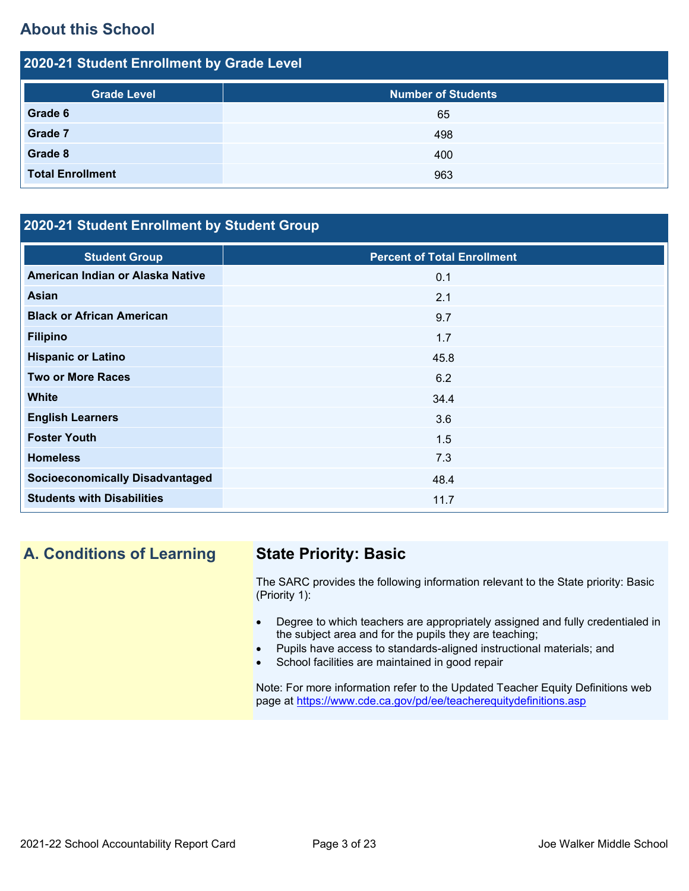# **About this School**

| 2020-21 Student Enrollment by Grade Level |                           |  |  |  |  |
|-------------------------------------------|---------------------------|--|--|--|--|
| <b>Grade Level</b>                        | <b>Number of Students</b> |  |  |  |  |
| Grade 6                                   | 65                        |  |  |  |  |
| <b>Grade 7</b>                            | 498                       |  |  |  |  |
| Grade 8                                   | 400                       |  |  |  |  |
| <b>Total Enrollment</b>                   | 963                       |  |  |  |  |

## **2020-21 Student Enrollment by Student Group**

| <b>Student Group</b>                   | <b>Percent of Total Enrollment</b> |
|----------------------------------------|------------------------------------|
| American Indian or Alaska Native       | 0.1                                |
| Asian                                  | 2.1                                |
| <b>Black or African American</b>       | 9.7                                |
| <b>Filipino</b>                        | 1.7                                |
| <b>Hispanic or Latino</b>              | 45.8                               |
| <b>Two or More Races</b>               | 6.2                                |
| <b>White</b>                           | 34.4                               |
| <b>English Learners</b>                | 3.6                                |
| <b>Foster Youth</b>                    | 1.5                                |
| <b>Homeless</b>                        | 7.3                                |
| <b>Socioeconomically Disadvantaged</b> | 48.4                               |
| <b>Students with Disabilities</b>      | 11.7                               |

## **A. Conditions of Learning State Priority: Basic**

The SARC provides the following information relevant to the State priority: Basic (Priority 1):

- Degree to which teachers are appropriately assigned and fully credentialed in the subject area and for the pupils they are teaching;
- Pupils have access to standards-aligned instructional materials; and
- School facilities are maintained in good repair

Note: For more information refer to the Updated Teacher Equity Definitions web page at<https://www.cde.ca.gov/pd/ee/teacherequitydefinitions.asp>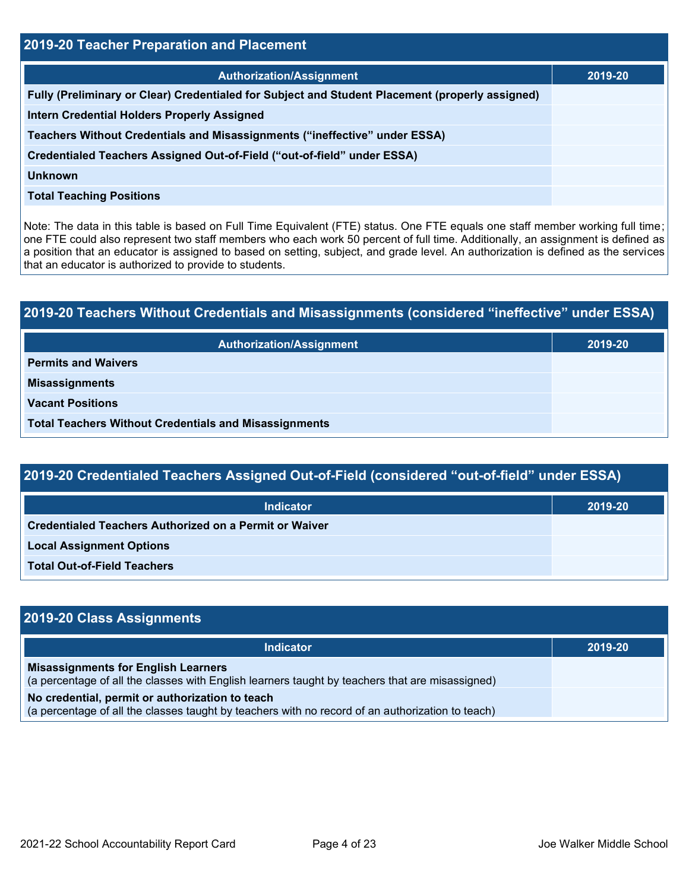| 2019-20 Teacher Preparation and Placement                                                       |         |  |  |  |
|-------------------------------------------------------------------------------------------------|---------|--|--|--|
| <b>Authorization/Assignment</b>                                                                 | 2019-20 |  |  |  |
| Fully (Preliminary or Clear) Credentialed for Subject and Student Placement (properly assigned) |         |  |  |  |
| <b>Intern Credential Holders Properly Assigned</b>                                              |         |  |  |  |
| Teachers Without Credentials and Misassignments ("ineffective" under ESSA)                      |         |  |  |  |
| Credentialed Teachers Assigned Out-of-Field ("out-of-field" under ESSA)                         |         |  |  |  |
| <b>Unknown</b>                                                                                  |         |  |  |  |
| <b>Total Teaching Positions</b>                                                                 |         |  |  |  |

Note: The data in this table is based on Full Time Equivalent (FTE) status. One FTE equals one staff member working full time; one FTE could also represent two staff members who each work 50 percent of full time. Additionally, an assignment is defined as a position that an educator is assigned to based on setting, subject, and grade level. An authorization is defined as the services that an educator is authorized to provide to students.

# **2019-20 Teachers Without Credentials and Misassignments (considered "ineffective" under ESSA) Authorization/Assignment 2019-20 Permits and Waivers Misassignments Vacant Positions Total Teachers Without Credentials and Misassignments**

| 2019-20 Credentialed Teachers Assigned Out-of-Field (considered "out-of-field" under ESSA) |         |  |  |  |
|--------------------------------------------------------------------------------------------|---------|--|--|--|
| <b>Indicator</b>                                                                           | 2019-20 |  |  |  |
| Credentialed Teachers Authorized on a Permit or Waiver                                     |         |  |  |  |
| <b>Local Assignment Options</b>                                                            |         |  |  |  |
| <b>Total Out-of-Field Teachers</b>                                                         |         |  |  |  |

| 2019-20 Class Assignments                                                                                                                           |         |
|-----------------------------------------------------------------------------------------------------------------------------------------------------|---------|
| <b>Indicator</b>                                                                                                                                    | 2019-20 |
| <b>Misassignments for English Learners</b><br>(a percentage of all the classes with English learners taught by teachers that are misassigned)       |         |
| No credential, permit or authorization to teach<br>(a percentage of all the classes taught by teachers with no record of an authorization to teach) |         |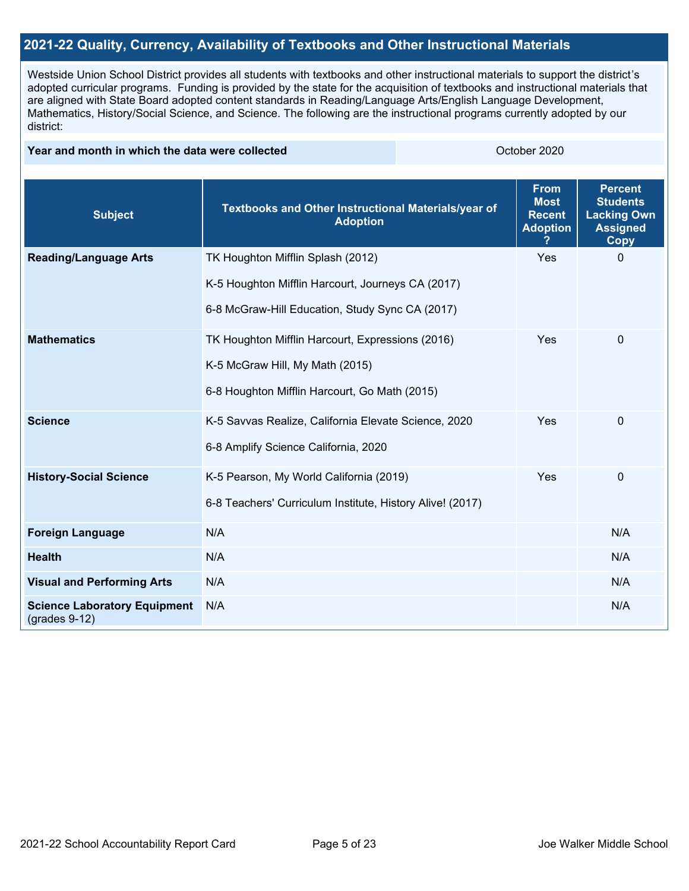#### **2021-22 Quality, Currency, Availability of Textbooks and Other Instructional Materials**

Westside Union School District provides all students with textbooks and other instructional materials to support the district's adopted curricular programs. Funding is provided by the state for the acquisition of textbooks and instructional materials that are aligned with State Board adopted content standards in Reading/Language Arts/English Language Development, Mathematics, History/Social Science, and Science. The following are the instructional programs currently adopted by our district:

#### **Year and month in which the data were collected Collection Collection Collection Collection** October 2020

| <b>Subject</b>                                         | Textbooks and Other Instructional Materials/year of<br><b>Adoption</b> | <b>From</b><br><b>Most</b><br><b>Recent</b><br><b>Adoption</b> | <b>Percent</b><br><b>Students</b><br><b>Lacking Own</b><br><b>Assigned</b><br><b>Copy</b> |
|--------------------------------------------------------|------------------------------------------------------------------------|----------------------------------------------------------------|-------------------------------------------------------------------------------------------|
| <b>Reading/Language Arts</b>                           | TK Houghton Mifflin Splash (2012)                                      | Yes                                                            | $\mathbf{0}$                                                                              |
|                                                        | K-5 Houghton Mifflin Harcourt, Journeys CA (2017)                      |                                                                |                                                                                           |
|                                                        | 6-8 McGraw-Hill Education, Study Sync CA (2017)                        |                                                                |                                                                                           |
| <b>Mathematics</b>                                     | TK Houghton Mifflin Harcourt, Expressions (2016)                       | Yes                                                            | $\mathbf 0$                                                                               |
|                                                        | K-5 McGraw Hill, My Math (2015)                                        |                                                                |                                                                                           |
|                                                        | 6-8 Houghton Mifflin Harcourt, Go Math (2015)                          |                                                                |                                                                                           |
| <b>Science</b>                                         | K-5 Savvas Realize, California Elevate Science, 2020                   | Yes                                                            | $\mathbf{0}$                                                                              |
|                                                        | 6-8 Amplify Science California, 2020                                   |                                                                |                                                                                           |
| <b>History-Social Science</b>                          | K-5 Pearson, My World California (2019)                                | Yes                                                            | $\mathbf 0$                                                                               |
|                                                        | 6-8 Teachers' Curriculum Institute, History Alive! (2017)              |                                                                |                                                                                           |
| <b>Foreign Language</b>                                | N/A                                                                    |                                                                | N/A                                                                                       |
| <b>Health</b>                                          | N/A                                                                    |                                                                | N/A                                                                                       |
| <b>Visual and Performing Arts</b>                      | N/A                                                                    |                                                                | N/A                                                                                       |
| <b>Science Laboratory Equipment</b><br>$(grades 9-12)$ | N/A                                                                    |                                                                | N/A                                                                                       |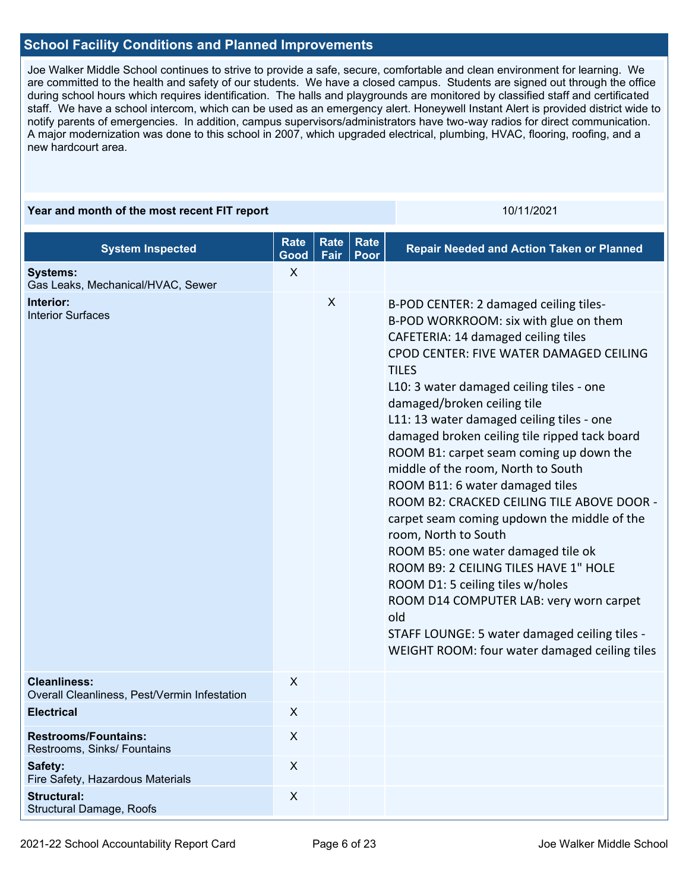#### **School Facility Conditions and Planned Improvements**

Joe Walker Middle School continues to strive to provide a safe, secure, comfortable and clean environment for learning. We are committed to the health and safety of our students. We have a closed campus. Students are signed out through the office during school hours which requires identification. The halls and playgrounds are monitored by classified staff and certificated staff. We have a school intercom, which can be used as an emergency alert. Honeywell Instant Alert is provided district wide to notify parents of emergencies. In addition, campus supervisors/administrators have two-way radios for direct communication. A major modernization was done to this school in 2007, which upgraded electrical, plumbing, HVAC, flooring, roofing, and a new hardcourt area.

#### **Year and month of the most recent FIT report** 10/11/2021 10/11/2021 **System Inspected Rate Good Rate Fair Rate Poor Repair Needed and Action Taken or Planned Systems:** Gas Leaks, Mechanical/HVAC, Sewer X **Interior:** Interior Surfaces X B-POD CENTER: 2 damaged ceiling tiles-B-POD WORKROOM: six with glue on them CAFETERIA: 14 damaged ceiling tiles CPOD CENTER: FIVE WATER DAMAGED CEILING TILES L10: 3 water damaged ceiling tiles - one damaged/broken ceiling tile L11: 13 water damaged ceiling tiles - one damaged broken ceiling tile ripped tack board ROOM B1: carpet seam coming up down the middle of the room, North to South ROOM B11: 6 water damaged tiles ROOM B2: CRACKED CEILING TILE ABOVE DOOR carpet seam coming updown the middle of the room, North to South ROOM B5: one water damaged tile ok ROOM B9: 2 CEILING TILES HAVE 1" HOLE ROOM D1: 5 ceiling tiles w/holes ROOM D14 COMPUTER LAB: very worn carpet old STAFF LOUNGE: 5 water damaged ceiling tiles - WEIGHT ROOM: four water damaged ceiling tiles **Cleanliness:** Overall Cleanliness, Pest/Vermin Infestation X **Electrical** X **Restrooms/Fountains:** Restrooms, Sinks/ Fountains X **Safety:** Fire Safety, Hazardous Materials X **Structural:** Structural Damage, Roofs X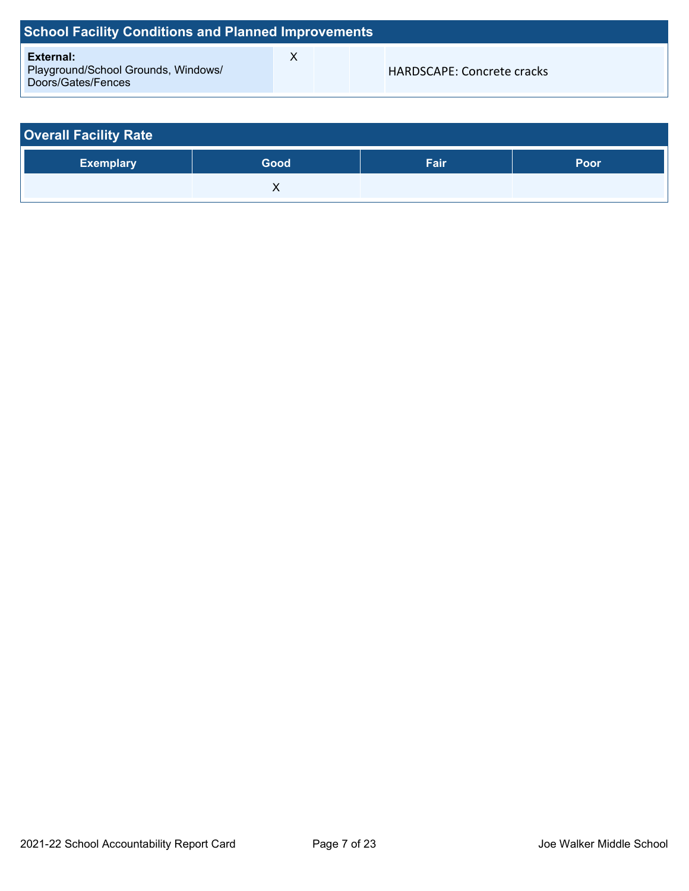| <b>School Facility Conditions and Planned Improvements</b>             |   |  |                            |  |  |  |
|------------------------------------------------------------------------|---|--|----------------------------|--|--|--|
| External:<br>Playground/School Grounds, Windows/<br>Doors/Gates/Fences | х |  | HARDSCAPE: Concrete cracks |  |  |  |

| <b>Overall Facility Rate</b> |      |      |      |  |  |
|------------------------------|------|------|------|--|--|
| <b>Exemplary</b>             | Good | Fair | Poor |  |  |
|                              |      |      |      |  |  |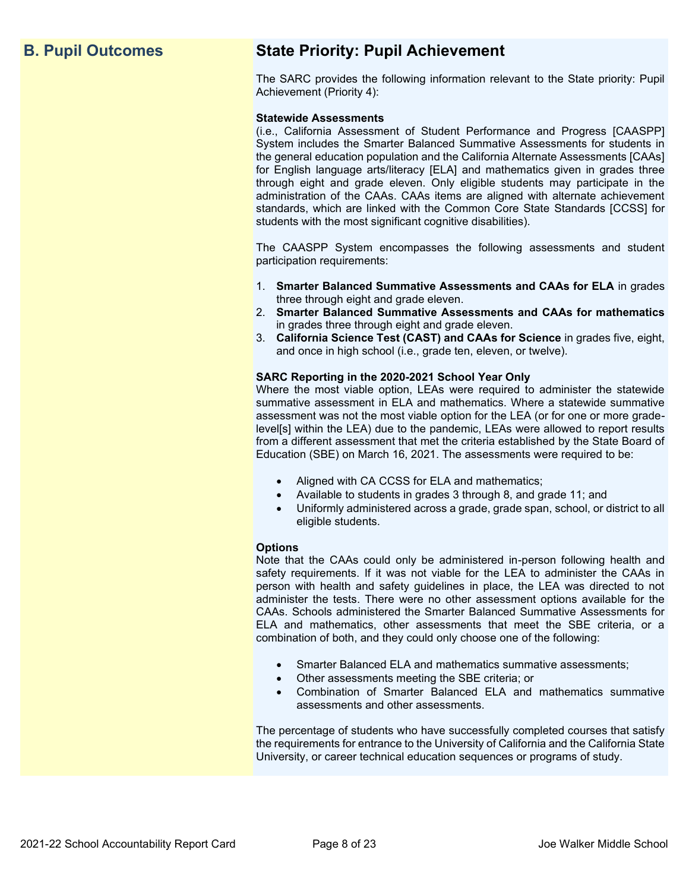# **B. Pupil Outcomes State Priority: Pupil Achievement**

The SARC provides the following information relevant to the State priority: Pupil Achievement (Priority 4):

#### **Statewide Assessments**

(i.e., California Assessment of Student Performance and Progress [CAASPP] System includes the Smarter Balanced Summative Assessments for students in the general education population and the California Alternate Assessments [CAAs] for English language arts/literacy [ELA] and mathematics given in grades three through eight and grade eleven. Only eligible students may participate in the administration of the CAAs. CAAs items are aligned with alternate achievement standards, which are linked with the Common Core State Standards [CCSS] for students with the most significant cognitive disabilities).

The CAASPP System encompasses the following assessments and student participation requirements:

- 1. **Smarter Balanced Summative Assessments and CAAs for ELA** in grades three through eight and grade eleven.
- 2. **Smarter Balanced Summative Assessments and CAAs for mathematics** in grades three through eight and grade eleven.
- 3. **California Science Test (CAST) and CAAs for Science** in grades five, eight, and once in high school (i.e., grade ten, eleven, or twelve).

#### **SARC Reporting in the 2020-2021 School Year Only**

Where the most viable option, LEAs were required to administer the statewide summative assessment in ELA and mathematics. Where a statewide summative assessment was not the most viable option for the LEA (or for one or more gradelevel[s] within the LEA) due to the pandemic, LEAs were allowed to report results from a different assessment that met the criteria established by the State Board of Education (SBE) on March 16, 2021. The assessments were required to be:

- Aligned with CA CCSS for ELA and mathematics;
- Available to students in grades 3 through 8, and grade 11; and
- Uniformly administered across a grade, grade span, school, or district to all eligible students.

#### **Options**

Note that the CAAs could only be administered in-person following health and safety requirements. If it was not viable for the LEA to administer the CAAs in person with health and safety guidelines in place, the LEA was directed to not administer the tests. There were no other assessment options available for the CAAs. Schools administered the Smarter Balanced Summative Assessments for ELA and mathematics, other assessments that meet the SBE criteria, or a combination of both, and they could only choose one of the following:

- Smarter Balanced ELA and mathematics summative assessments;
- Other assessments meeting the SBE criteria; or
- Combination of Smarter Balanced ELA and mathematics summative assessments and other assessments.

The percentage of students who have successfully completed courses that satisfy the requirements for entrance to the University of California and the California State University, or career technical education sequences or programs of study.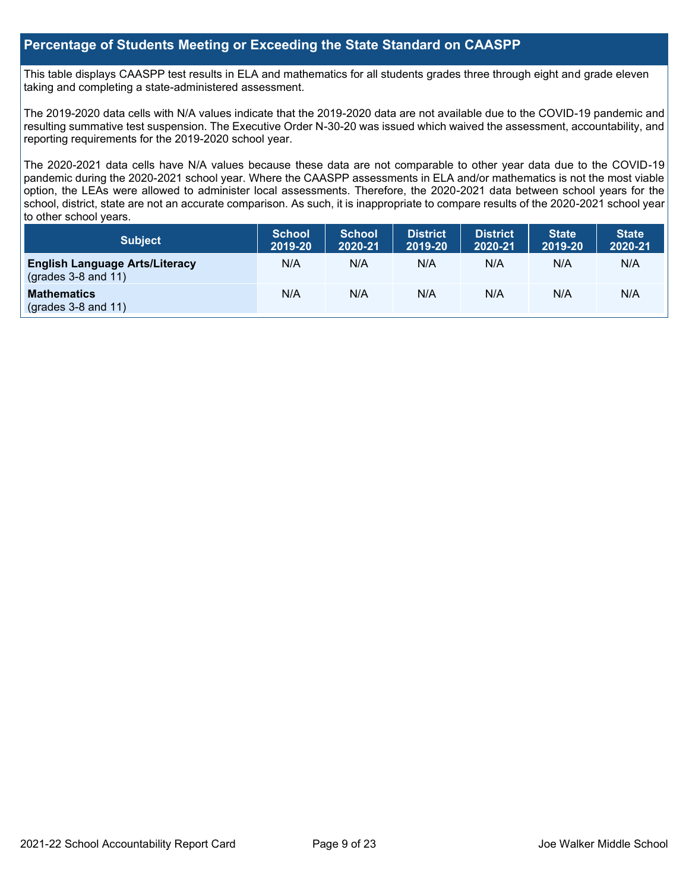#### **Percentage of Students Meeting or Exceeding the State Standard on CAASPP**

This table displays CAASPP test results in ELA and mathematics for all students grades three through eight and grade eleven taking and completing a state-administered assessment.

The 2019-2020 data cells with N/A values indicate that the 2019-2020 data are not available due to the COVID-19 pandemic and resulting summative test suspension. The Executive Order N-30-20 was issued which waived the assessment, accountability, and reporting requirements for the 2019-2020 school year.

The 2020-2021 data cells have N/A values because these data are not comparable to other year data due to the COVID-19 pandemic during the 2020-2021 school year. Where the CAASPP assessments in ELA and/or mathematics is not the most viable option, the LEAs were allowed to administer local assessments. Therefore, the 2020-2021 data between school years for the school, district, state are not an accurate comparison. As such, it is inappropriate to compare results of the 2020-2021 school year to other school years.

| Subject                                                        | <b>School</b><br>2019-20 | <b>School</b><br>2020-21 | <b>District</b><br>2019-20 | <b>District</b><br>2020-21 | <b>State</b><br>2019-20 | <b>State</b><br>2020-21 |
|----------------------------------------------------------------|--------------------------|--------------------------|----------------------------|----------------------------|-------------------------|-------------------------|
| <b>English Language Arts/Literacy</b><br>$(grades 3-8 and 11)$ | N/A                      | N/A                      | N/A                        | N/A                        | N/A                     | N/A                     |
| <b>Mathematics</b><br>$(grades 3-8 and 11)$                    | N/A                      | N/A                      | N/A                        | N/A                        | N/A                     | N/A                     |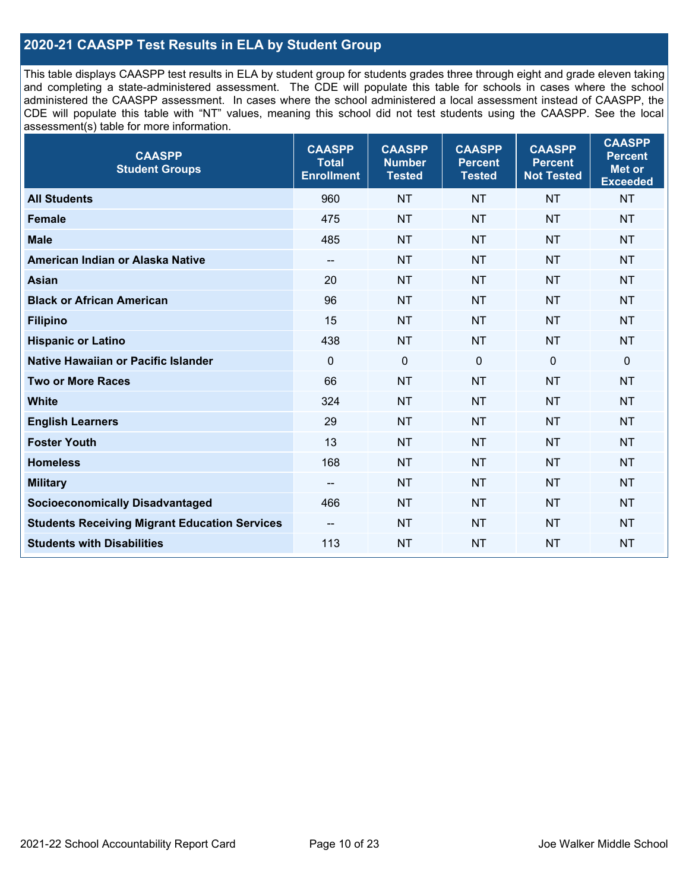### **2020-21 CAASPP Test Results in ELA by Student Group**

This table displays CAASPP test results in ELA by student group for students grades three through eight and grade eleven taking and completing a state-administered assessment. The CDE will populate this table for schools in cases where the school administered the CAASPP assessment. In cases where the school administered a local assessment instead of CAASPP, the CDE will populate this table with "NT" values, meaning this school did not test students using the CAASPP. See the local assessment(s) table for more information.

| <b>CAASPP</b><br><b>Student Groups</b>               | <b>CAASPP</b><br><b>Total</b><br><b>Enrollment</b> | <b>CAASPP</b><br><b>Number</b><br><b>Tested</b> | <b>CAASPP</b><br><b>Percent</b><br><b>Tested</b> | <b>CAASPP</b><br><b>Percent</b><br><b>Not Tested</b> | <b>CAASPP</b><br><b>Percent</b><br>Met or<br><b>Exceeded</b> |
|------------------------------------------------------|----------------------------------------------------|-------------------------------------------------|--------------------------------------------------|------------------------------------------------------|--------------------------------------------------------------|
| <b>All Students</b>                                  | 960                                                | <b>NT</b>                                       | <b>NT</b>                                        | <b>NT</b>                                            | <b>NT</b>                                                    |
| <b>Female</b>                                        | 475                                                | <b>NT</b>                                       | <b>NT</b>                                        | <b>NT</b>                                            | <b>NT</b>                                                    |
| <b>Male</b>                                          | 485                                                | <b>NT</b>                                       | <b>NT</b>                                        | <b>NT</b>                                            | <b>NT</b>                                                    |
| American Indian or Alaska Native                     | $\overline{\phantom{a}}$                           | <b>NT</b>                                       | <b>NT</b>                                        | <b>NT</b>                                            | <b>NT</b>                                                    |
| <b>Asian</b>                                         | 20                                                 | <b>NT</b>                                       | <b>NT</b>                                        | <b>NT</b>                                            | <b>NT</b>                                                    |
| <b>Black or African American</b>                     | 96                                                 | <b>NT</b>                                       | <b>NT</b>                                        | <b>NT</b>                                            | <b>NT</b>                                                    |
| <b>Filipino</b>                                      | 15                                                 | <b>NT</b>                                       | <b>NT</b>                                        | <b>NT</b>                                            | <b>NT</b>                                                    |
| <b>Hispanic or Latino</b>                            | 438                                                | <b>NT</b>                                       | <b>NT</b>                                        | <b>NT</b>                                            | <b>NT</b>                                                    |
| <b>Native Hawaiian or Pacific Islander</b>           | $\mathbf 0$                                        | $\mathbf 0$                                     | $\mathbf{0}$                                     | $\mathbf 0$                                          | 0                                                            |
| <b>Two or More Races</b>                             | 66                                                 | <b>NT</b>                                       | <b>NT</b>                                        | <b>NT</b>                                            | <b>NT</b>                                                    |
| <b>White</b>                                         | 324                                                | <b>NT</b>                                       | <b>NT</b>                                        | <b>NT</b>                                            | <b>NT</b>                                                    |
| <b>English Learners</b>                              | 29                                                 | <b>NT</b>                                       | <b>NT</b>                                        | <b>NT</b>                                            | <b>NT</b>                                                    |
| <b>Foster Youth</b>                                  | 13                                                 | <b>NT</b>                                       | <b>NT</b>                                        | <b>NT</b>                                            | <b>NT</b>                                                    |
| <b>Homeless</b>                                      | 168                                                | <b>NT</b>                                       | <b>NT</b>                                        | <b>NT</b>                                            | <b>NT</b>                                                    |
| <b>Military</b>                                      | --                                                 | <b>NT</b>                                       | <b>NT</b>                                        | <b>NT</b>                                            | <b>NT</b>                                                    |
| <b>Socioeconomically Disadvantaged</b>               | 466                                                | <b>NT</b>                                       | <b>NT</b>                                        | <b>NT</b>                                            | <b>NT</b>                                                    |
| <b>Students Receiving Migrant Education Services</b> |                                                    | <b>NT</b>                                       | <b>NT</b>                                        | <b>NT</b>                                            | <b>NT</b>                                                    |
| <b>Students with Disabilities</b>                    | 113                                                | <b>NT</b>                                       | <b>NT</b>                                        | <b>NT</b>                                            | <b>NT</b>                                                    |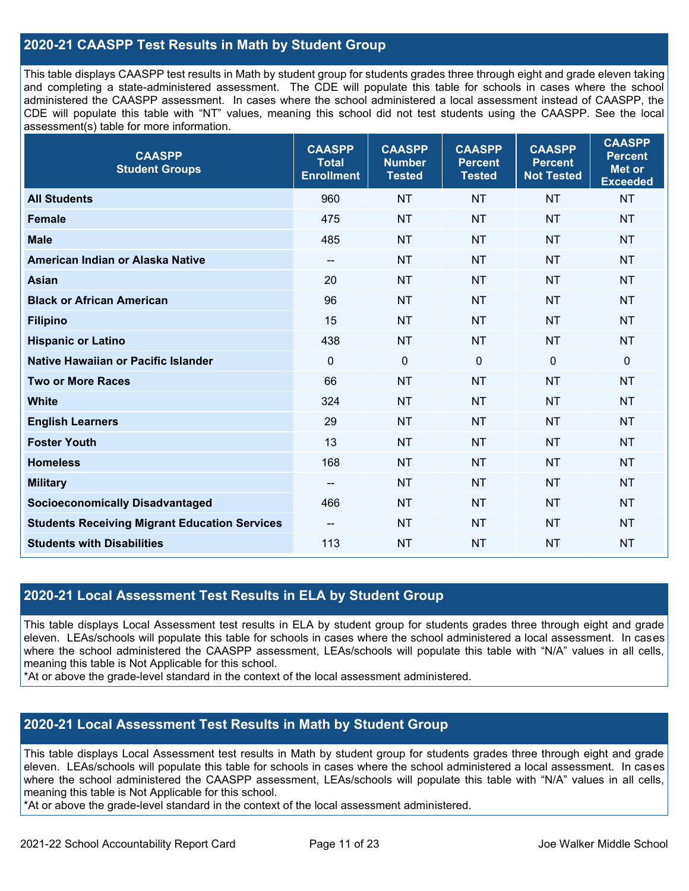### **2020-21 CAASPP Test Results in Math by Student Group**

This table displays CAASPP test results in Math by student group for students grades three through eight and grade eleven taking and completing a state-administered assessment. The CDE will populate this table for schools in cases where the school administered the CAASPP assessment. In cases where the school administered a local assessment instead of CAASPP, the CDE will populate this table with "NT" values, meaning this school did not test students using the CAASPP. See the local assessment(s) table for more information.

| <b>CAASPP</b><br><b>Student Groups</b>               | <b>CAASPP</b><br><b>Total</b><br><b>Enrollment</b> | <b>CAASPP</b><br><b>Number</b><br><b>Tested</b> | <b>CAASPP</b><br><b>Percent</b><br><b>Tested</b> | <b>CAASPP</b><br><b>Percent</b><br><b>Not Tested</b> | <b>CAASPP</b><br><b>Percent</b><br><b>Met or</b><br><b>Exceeded</b> |
|------------------------------------------------------|----------------------------------------------------|-------------------------------------------------|--------------------------------------------------|------------------------------------------------------|---------------------------------------------------------------------|
| <b>All Students</b>                                  | 960                                                | <b>NT</b>                                       | <b>NT</b>                                        | <b>NT</b>                                            | <b>NT</b>                                                           |
| <b>Female</b>                                        | 475                                                | <b>NT</b>                                       | <b>NT</b>                                        | <b>NT</b>                                            | <b>NT</b>                                                           |
| <b>Male</b>                                          | 485                                                | <b>NT</b>                                       | <b>NT</b>                                        | <b>NT</b>                                            | <b>NT</b>                                                           |
| American Indian or Alaska Native                     | $\overline{\phantom{a}}$                           | <b>NT</b>                                       | <b>NT</b>                                        | <b>NT</b>                                            | <b>NT</b>                                                           |
| <b>Asian</b>                                         | 20                                                 | <b>NT</b>                                       | <b>NT</b>                                        | <b>NT</b>                                            | <b>NT</b>                                                           |
| <b>Black or African American</b>                     | 96                                                 | <b>NT</b>                                       | <b>NT</b>                                        | <b>NT</b>                                            | <b>NT</b>                                                           |
| <b>Filipino</b>                                      | 15                                                 | <b>NT</b>                                       | <b>NT</b>                                        | <b>NT</b>                                            | <b>NT</b>                                                           |
| <b>Hispanic or Latino</b>                            | 438                                                | <b>NT</b>                                       | <b>NT</b>                                        | <b>NT</b>                                            | <b>NT</b>                                                           |
| <b>Native Hawaiian or Pacific Islander</b>           | $\mathbf 0$                                        | $\boldsymbol{0}$                                | $\mathbf 0$                                      | $\mathbf 0$                                          | $\pmb{0}$                                                           |
| <b>Two or More Races</b>                             | 66                                                 | <b>NT</b>                                       | <b>NT</b>                                        | <b>NT</b>                                            | <b>NT</b>                                                           |
| <b>White</b>                                         | 324                                                | <b>NT</b>                                       | <b>NT</b>                                        | <b>NT</b>                                            | <b>NT</b>                                                           |
| <b>English Learners</b>                              | 29                                                 | <b>NT</b>                                       | <b>NT</b>                                        | <b>NT</b>                                            | <b>NT</b>                                                           |
| <b>Foster Youth</b>                                  | 13                                                 | <b>NT</b>                                       | <b>NT</b>                                        | <b>NT</b>                                            | <b>NT</b>                                                           |
| <b>Homeless</b>                                      | 168                                                | <b>NT</b>                                       | <b>NT</b>                                        | <b>NT</b>                                            | <b>NT</b>                                                           |
| <b>Military</b>                                      | --                                                 | <b>NT</b>                                       | <b>NT</b>                                        | <b>NT</b>                                            | <b>NT</b>                                                           |
| <b>Socioeconomically Disadvantaged</b>               | 466                                                | <b>NT</b>                                       | <b>NT</b>                                        | <b>NT</b>                                            | <b>NT</b>                                                           |
| <b>Students Receiving Migrant Education Services</b> | $\overline{\phantom{a}}$                           | <b>NT</b>                                       | <b>NT</b>                                        | <b>NT</b>                                            | <b>NT</b>                                                           |
| <b>Students with Disabilities</b>                    | 113                                                | <b>NT</b>                                       | <b>NT</b>                                        | <b>NT</b>                                            | <b>NT</b>                                                           |

#### **2020-21 Local Assessment Test Results in ELA by Student Group**

This table displays Local Assessment test results in ELA by student group for students grades three through eight and grade eleven. LEAs/schools will populate this table for schools in cases where the school administered a local assessment. In cases where the school administered the CAASPP assessment, LEAs/schools will populate this table with "N/A" values in all cells, meaning this table is Not Applicable for this school.

\*At or above the grade-level standard in the context of the local assessment administered.

#### **2020-21 Local Assessment Test Results in Math by Student Group**

This table displays Local Assessment test results in Math by student group for students grades three through eight and grade eleven. LEAs/schools will populate this table for schools in cases where the school administered a local assessment. In cases where the school administered the CAASPP assessment, LEAs/schools will populate this table with "N/A" values in all cells, meaning this table is Not Applicable for this school.

\*At or above the grade-level standard in the context of the local assessment administered.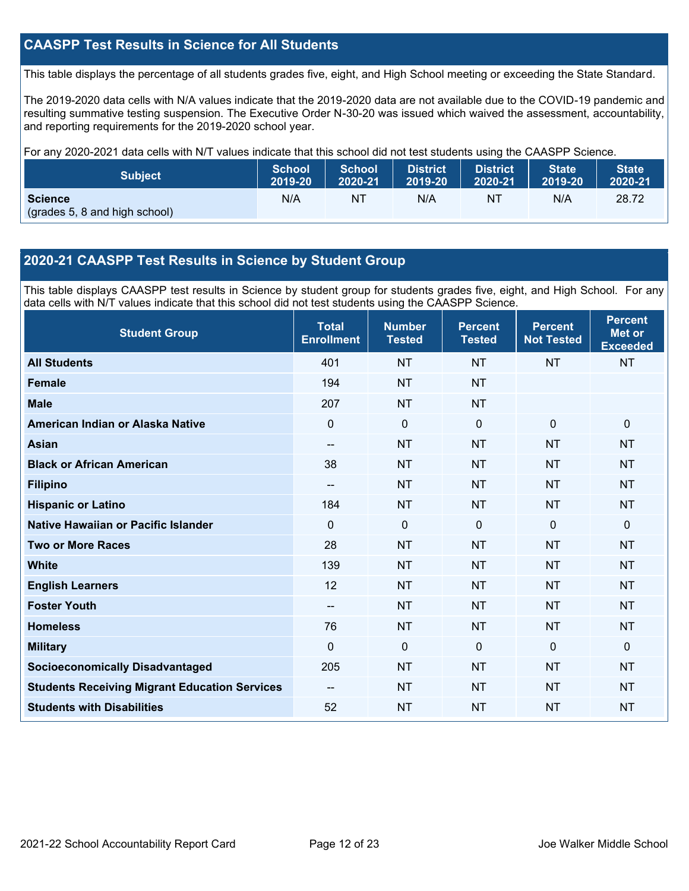### **CAASPP Test Results in Science for All Students**

This table displays the percentage of all students grades five, eight, and High School meeting or exceeding the State Standard.

The 2019-2020 data cells with N/A values indicate that the 2019-2020 data are not available due to the COVID-19 pandemic and resulting summative testing suspension. The Executive Order N-30-20 was issued which waived the assessment, accountability, and reporting requirements for the 2019-2020 school year.

For any 2020-2021 data cells with N/T values indicate that this school did not test students using the CAASPP Science.

| <b>Subject</b>                                  | <b>School</b> | <b>School</b>  | <b>District</b> | <b>District</b> | <b>State</b> | <b>State</b> |
|-------------------------------------------------|---------------|----------------|-----------------|-----------------|--------------|--------------|
|                                                 | 2019-20       | 2020-21        | 2019-20         | 2020-21         | 2019-20      | 2020-21      |
| <b>Science</b><br>(grades 5, 8 and high school) | N/A           | N <sub>1</sub> | N/A             | NT              | N/A          | 28.72        |

#### **2020-21 CAASPP Test Results in Science by Student Group**

This table displays CAASPP test results in Science by student group for students grades five, eight, and High School. For any data cells with N/T values indicate that this school did not test students using the CAASPP Science.

| <b>Student Group</b>                                 | <b>Total</b><br><b>Enrollment</b> | <b>Number</b><br><b>Tested</b> | <b>Percent</b><br><b>Tested</b> | <b>Percent</b><br><b>Not Tested</b> | <b>Percent</b><br><b>Met or</b><br><b>Exceeded</b> |
|------------------------------------------------------|-----------------------------------|--------------------------------|---------------------------------|-------------------------------------|----------------------------------------------------|
| <b>All Students</b>                                  | 401                               | <b>NT</b>                      | <b>NT</b>                       | <b>NT</b>                           | <b>NT</b>                                          |
| <b>Female</b>                                        | 194                               | <b>NT</b>                      | <b>NT</b>                       |                                     |                                                    |
| <b>Male</b>                                          | 207                               | <b>NT</b>                      | <b>NT</b>                       |                                     |                                                    |
| American Indian or Alaska Native                     | $\Omega$                          | $\mathbf 0$                    | $\mathbf{0}$                    | $\mathbf 0$                         | $\mathbf 0$                                        |
| <b>Asian</b>                                         | --                                | <b>NT</b>                      | <b>NT</b>                       | <b>NT</b>                           | <b>NT</b>                                          |
| <b>Black or African American</b>                     | 38                                | <b>NT</b>                      | <b>NT</b>                       | <b>NT</b>                           | <b>NT</b>                                          |
| <b>Filipino</b>                                      | --                                | <b>NT</b>                      | <b>NT</b>                       | <b>NT</b>                           | <b>NT</b>                                          |
| <b>Hispanic or Latino</b>                            | 184                               | <b>NT</b>                      | <b>NT</b>                       | <b>NT</b>                           | <b>NT</b>                                          |
| Native Hawaiian or Pacific Islander                  | $\Omega$                          | $\mathbf 0$                    | $\mathbf 0$                     | $\overline{0}$                      | $\mathbf 0$                                        |
| <b>Two or More Races</b>                             | 28                                | <b>NT</b>                      | <b>NT</b>                       | <b>NT</b>                           | <b>NT</b>                                          |
| <b>White</b>                                         | 139                               | <b>NT</b>                      | <b>NT</b>                       | <b>NT</b>                           | <b>NT</b>                                          |
| <b>English Learners</b>                              | 12                                | <b>NT</b>                      | <b>NT</b>                       | <b>NT</b>                           | <b>NT</b>                                          |
| <b>Foster Youth</b>                                  | --                                | <b>NT</b>                      | <b>NT</b>                       | <b>NT</b>                           | <b>NT</b>                                          |
| <b>Homeless</b>                                      | 76                                | <b>NT</b>                      | <b>NT</b>                       | <b>NT</b>                           | <b>NT</b>                                          |
| <b>Military</b>                                      | $\Omega$                          | 0                              | $\mathbf{0}$                    | $\mathbf{0}$                        | $\mathbf{0}$                                       |
| <b>Socioeconomically Disadvantaged</b>               | 205                               | <b>NT</b>                      | <b>NT</b>                       | <b>NT</b>                           | <b>NT</b>                                          |
| <b>Students Receiving Migrant Education Services</b> | --                                | <b>NT</b>                      | <b>NT</b>                       | <b>NT</b>                           | <b>NT</b>                                          |
| <b>Students with Disabilities</b>                    | 52                                | <b>NT</b>                      | <b>NT</b>                       | <b>NT</b>                           | <b>NT</b>                                          |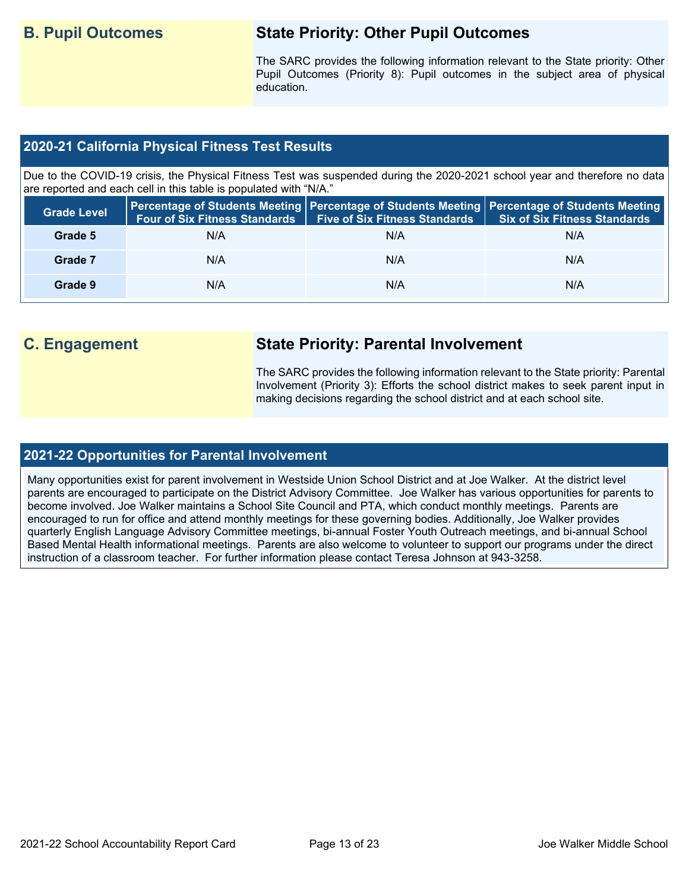## **B. Pupil Outcomes State Priority: Other Pupil Outcomes**

The SARC provides the following information relevant to the State priority: Other Pupil Outcomes (Priority 8): Pupil outcomes in the subject area of physical education.

#### **2020-21 California Physical Fitness Test Results**

Due to the COVID-19 crisis, the Physical Fitness Test was suspended during the 2020-2021 school year and therefore no data are reported and each cell in this table is populated with "N/A."

| <b>Grade Level</b> | <b>Four of Six Fitness Standards</b> | <b>Five of Six Fitness Standards</b> | Percentage of Students Meeting   Percentage of Students Meeting   Percentage of Students Meeting  <br><b>Six of Six Fitness Standards</b> |
|--------------------|--------------------------------------|--------------------------------------|-------------------------------------------------------------------------------------------------------------------------------------------|
| Grade 5            | N/A                                  | N/A                                  | N/A                                                                                                                                       |
| Grade 7            | N/A                                  | N/A                                  | N/A                                                                                                                                       |
| Grade 9            | N/A                                  | N/A                                  | N/A                                                                                                                                       |

# **C. Engagement State Priority: Parental Involvement**

The SARC provides the following information relevant to the State priority: Parental Involvement (Priority 3): Efforts the school district makes to seek parent input in making decisions regarding the school district and at each school site.

#### **2021-22 Opportunities for Parental Involvement**

Many opportunities exist for parent involvement in Westside Union School District and at Joe Walker. At the district level parents are encouraged to participate on the District Advisory Committee. Joe Walker has various opportunities for parents to become involved. Joe Walker maintains a School Site Council and PTA, which conduct monthly meetings. Parents are encouraged to run for office and attend monthly meetings for these governing bodies. Additionally, Joe Walker provides quarterly English Language Advisory Committee meetings, bi-annual Foster Youth Outreach meetings, and bi-annual School Based Mental Health informational meetings. Parents are also welcome to volunteer to support our programs under the direct instruction of a classroom teacher. For further information please contact Teresa Johnson at 943-3258.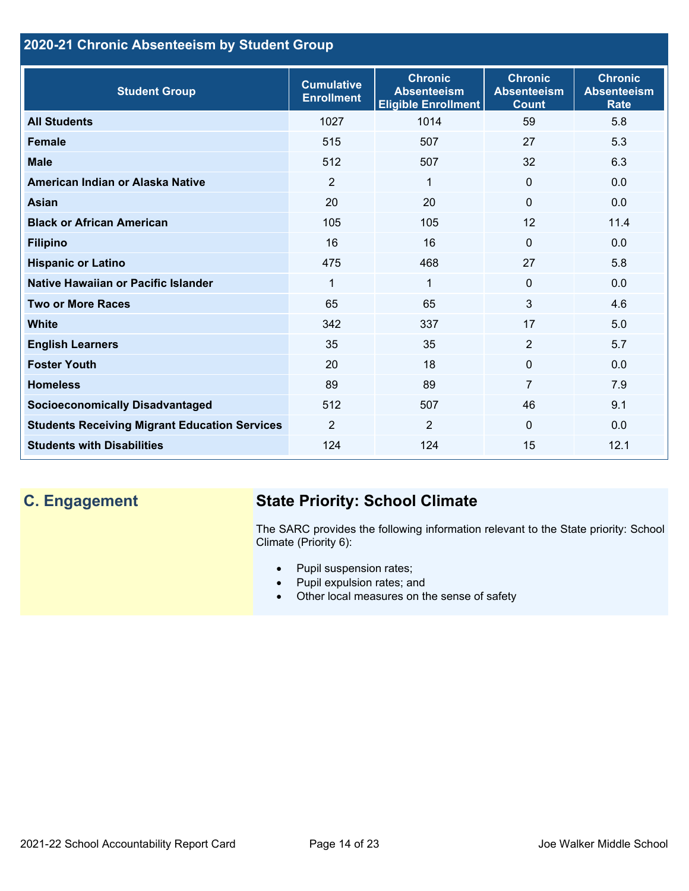## **2020-21 Chronic Absenteeism by Student Group**

| <b>Student Group</b>                                 | <b>Cumulative</b><br><b>Enrollment</b> | <b>Chronic</b><br><b>Absenteeism</b><br><b>Eligible Enrollment</b> | <b>Chronic</b><br><b>Absenteeism</b><br><b>Count</b> | <b>Chronic</b><br><b>Absenteeism</b><br><b>Rate</b> |
|------------------------------------------------------|----------------------------------------|--------------------------------------------------------------------|------------------------------------------------------|-----------------------------------------------------|
| <b>All Students</b>                                  | 1027                                   | 1014                                                               | 59                                                   | 5.8                                                 |
| <b>Female</b>                                        | 515                                    | 507                                                                | 27                                                   | 5.3                                                 |
| <b>Male</b>                                          | 512                                    | 507                                                                | 32                                                   | 6.3                                                 |
| American Indian or Alaska Native                     | 2                                      | $\mathbf 1$                                                        | $\mathbf{0}$                                         | 0.0                                                 |
| <b>Asian</b>                                         | 20                                     | 20                                                                 | $\mathbf 0$                                          | 0.0                                                 |
| <b>Black or African American</b>                     | 105                                    | 105                                                                | 12                                                   | 11.4                                                |
| <b>Filipino</b>                                      | 16                                     | 16                                                                 | $\mathbf{0}$                                         | 0.0                                                 |
| <b>Hispanic or Latino</b>                            | 475                                    | 468                                                                | 27                                                   | 5.8                                                 |
| Native Hawaiian or Pacific Islander                  | 1                                      | $\mathbf 1$                                                        | $\mathbf 0$                                          | 0.0                                                 |
| <b>Two or More Races</b>                             | 65                                     | 65                                                                 | 3                                                    | 4.6                                                 |
| <b>White</b>                                         | 342                                    | 337                                                                | 17                                                   | 5.0                                                 |
| <b>English Learners</b>                              | 35                                     | 35                                                                 | $\overline{2}$                                       | 5.7                                                 |
| <b>Foster Youth</b>                                  | 20                                     | 18                                                                 | $\Omega$                                             | 0.0                                                 |
| <b>Homeless</b>                                      | 89                                     | 89                                                                 | $\overline{7}$                                       | 7.9                                                 |
| <b>Socioeconomically Disadvantaged</b>               | 512                                    | 507                                                                | 46                                                   | 9.1                                                 |
| <b>Students Receiving Migrant Education Services</b> | $\overline{2}$                         | $\overline{2}$                                                     | $\Omega$                                             | 0.0                                                 |
| <b>Students with Disabilities</b>                    | 124                                    | 124                                                                | 15                                                   | 12.1                                                |

# **C. Engagement State Priority: School Climate**

The SARC provides the following information relevant to the State priority: School Climate (Priority 6):

- Pupil suspension rates;
- Pupil expulsion rates; and
- Other local measures on the sense of safety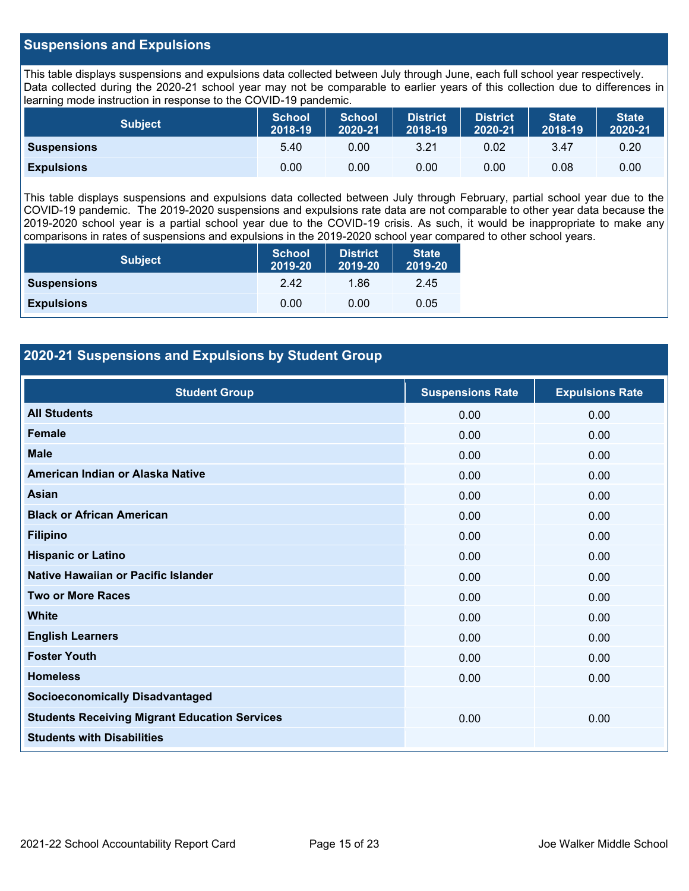#### **Suspensions and Expulsions**

This table displays suspensions and expulsions data collected between July through June, each full school year respectively. Data collected during the 2020-21 school year may not be comparable to earlier years of this collection due to differences in learning mode instruction in response to the COVID-19 pandemic.

| <b>Subject</b>     | <b>School</b><br>2018-19 | <b>School</b><br>2020-21 | <b>District</b><br>2018-19 | <b>District</b><br>2020-21 | <b>State</b><br>2018-19 | <b>State</b><br>2020-21 |
|--------------------|--------------------------|--------------------------|----------------------------|----------------------------|-------------------------|-------------------------|
| <b>Suspensions</b> | 5.40                     | 0.00                     | 3.21                       | 0.02                       | 3.47                    | 0.20                    |
| <b>Expulsions</b>  | 0.00                     | 0.00                     | 0.00                       | 0.00                       | 0.08                    | 0.00                    |

This table displays suspensions and expulsions data collected between July through February, partial school year due to the COVID-19 pandemic. The 2019-2020 suspensions and expulsions rate data are not comparable to other year data because the 2019-2020 school year is a partial school year due to the COVID-19 crisis. As such, it would be inappropriate to make any comparisons in rates of suspensions and expulsions in the 2019-2020 school year compared to other school years.

| <b>Subject</b>     | <b>School</b><br>2019-20 | <b>District</b><br>2019-20 | <b>State</b><br>2019-20 |
|--------------------|--------------------------|----------------------------|-------------------------|
| <b>Suspensions</b> | 2.42                     | 1.86                       | 2.45                    |
| <b>Expulsions</b>  | 0.00                     | 0.00                       | 0.05                    |

### **2020-21 Suspensions and Expulsions by Student Group**

| <b>Student Group</b>                                 | <b>Suspensions Rate</b> | <b>Expulsions Rate</b> |
|------------------------------------------------------|-------------------------|------------------------|
| <b>All Students</b>                                  | 0.00                    | 0.00                   |
| <b>Female</b>                                        | 0.00                    | 0.00                   |
| <b>Male</b>                                          | 0.00                    | 0.00                   |
| American Indian or Alaska Native                     | 0.00                    | 0.00                   |
| <b>Asian</b>                                         | 0.00                    | 0.00                   |
| <b>Black or African American</b>                     | 0.00                    | 0.00                   |
| <b>Filipino</b>                                      | 0.00                    | 0.00                   |
| <b>Hispanic or Latino</b>                            | 0.00                    | 0.00                   |
| Native Hawaiian or Pacific Islander                  | 0.00                    | 0.00                   |
| <b>Two or More Races</b>                             | 0.00                    | 0.00                   |
| <b>White</b>                                         | 0.00                    | 0.00                   |
| <b>English Learners</b>                              | 0.00                    | 0.00                   |
| <b>Foster Youth</b>                                  | 0.00                    | 0.00                   |
| <b>Homeless</b>                                      | 0.00                    | 0.00                   |
| <b>Socioeconomically Disadvantaged</b>               |                         |                        |
| <b>Students Receiving Migrant Education Services</b> | 0.00                    | 0.00                   |
| <b>Students with Disabilities</b>                    |                         |                        |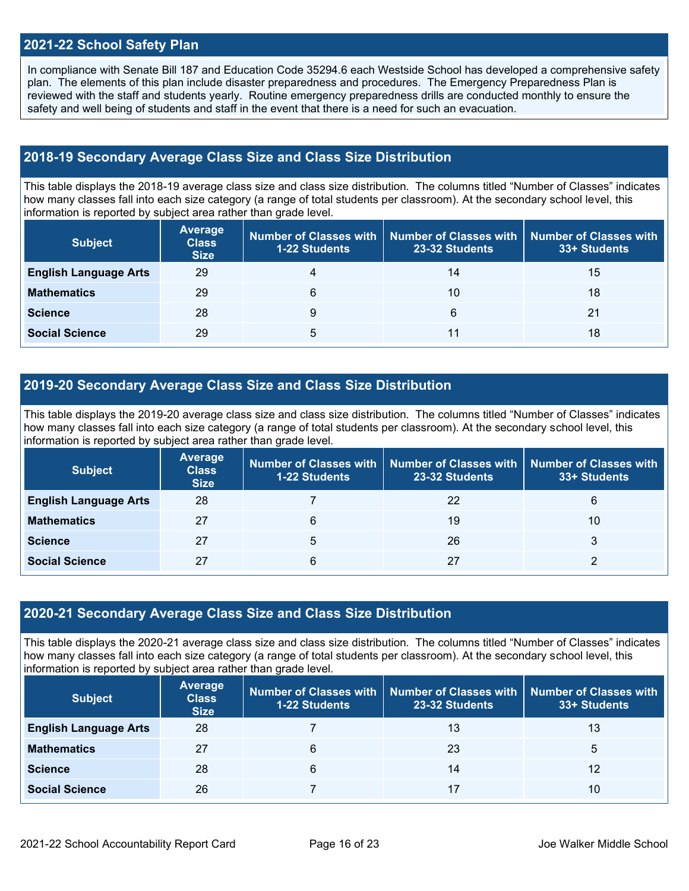#### **2021-22 School Safety Plan**

In compliance with Senate Bill 187 and Education Code 35294.6 each Westside School has developed a comprehensive safety plan. The elements of this plan include disaster preparedness and procedures. The Emergency Preparedness Plan is reviewed with the staff and students yearly. Routine emergency preparedness drills are conducted monthly to ensure the safety and well being of students and staff in the event that there is a need for such an evacuation.

#### **2018-19 Secondary Average Class Size and Class Size Distribution**

This table displays the 2018-19 average class size and class size distribution. The columns titled "Number of Classes" indicates how many classes fall into each size category (a range of total students per classroom). At the secondary school level, this information is reported by subject area rather than grade level.

| <b>Subject</b>               | Average<br><b>Class</b><br><b>Size</b> | <b>1-22 Students</b> | Number of Classes with   Number of Classes with   Number of Classes with<br>23-32 Students | 33+ Students |
|------------------------------|----------------------------------------|----------------------|--------------------------------------------------------------------------------------------|--------------|
| <b>English Language Arts</b> | 29                                     | 4                    | 14                                                                                         | 15           |
| <b>Mathematics</b>           | 29                                     | 6                    | 10                                                                                         | 18           |
| <b>Science</b>               | 28                                     | 9                    | 6                                                                                          | 21           |
| <b>Social Science</b>        | 29                                     | 5                    | 11                                                                                         | 18           |

#### **2019-20 Secondary Average Class Size and Class Size Distribution**

This table displays the 2019-20 average class size and class size distribution. The columns titled "Number of Classes" indicates how many classes fall into each size category (a range of total students per classroom). At the secondary school level, this information is reported by subject area rather than grade level.

| <b>Subject</b>               | <b>Average</b><br><b>Class</b><br><b>Size</b> | <b>1-22 Students</b> | Number of Classes with   Number of Classes with<br>23-32 Students | Number of Classes with<br>33+ Students |
|------------------------------|-----------------------------------------------|----------------------|-------------------------------------------------------------------|----------------------------------------|
| <b>English Language Arts</b> | 28                                            |                      | 22                                                                | 6                                      |
| <b>Mathematics</b>           | 27                                            | 6                    | 19                                                                | 10                                     |
| <b>Science</b>               | 27                                            | 5                    | 26                                                                | 3                                      |
| <b>Social Science</b>        | 27                                            | 6                    | 27                                                                |                                        |

#### **2020-21 Secondary Average Class Size and Class Size Distribution**

This table displays the 2020-21 average class size and class size distribution. The columns titled "Number of Classes" indicates how many classes fall into each size category (a range of total students per classroom). At the secondary school level, this information is reported by subject area rather than grade level.

| <b>Subject</b>               | <b>Average</b><br><b>Class</b><br><b>Size</b> | <b>1-22 Students</b> | Number of Classes with   Number of Classes with<br>23-32 Students | <b>Number of Classes with</b><br>33+ Students |
|------------------------------|-----------------------------------------------|----------------------|-------------------------------------------------------------------|-----------------------------------------------|
| <b>English Language Arts</b> | 28                                            |                      | 13                                                                | 13                                            |
| <b>Mathematics</b>           | 27                                            | 6                    | 23                                                                | 5                                             |
| <b>Science</b>               | 28                                            | 6                    | 14                                                                | 12                                            |
| <b>Social Science</b>        | 26                                            |                      | 17                                                                | 10                                            |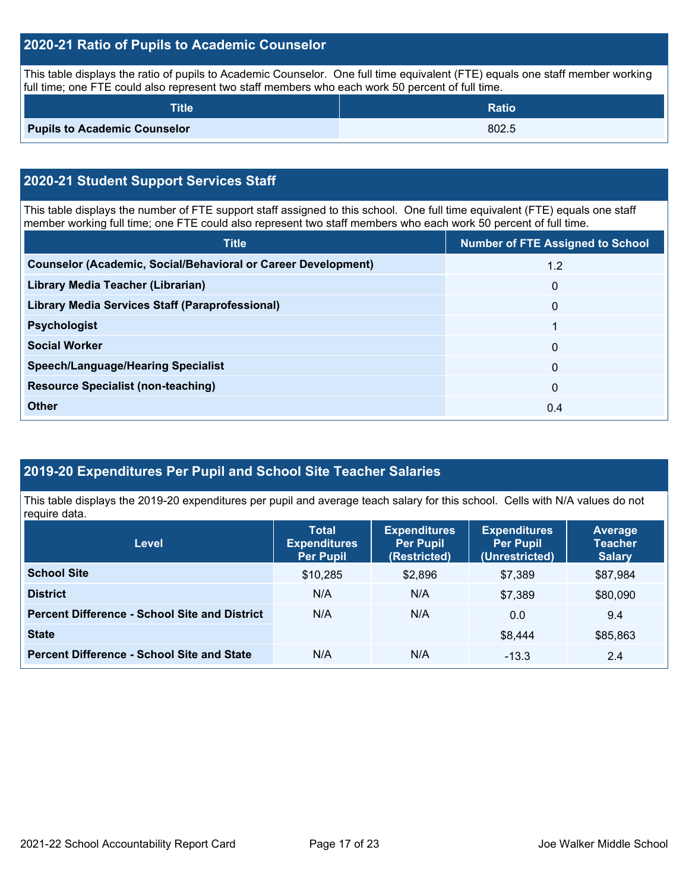### **2020-21 Ratio of Pupils to Academic Counselor**

This table displays the ratio of pupils to Academic Counselor. One full time equivalent (FTE) equals one staff member working full time; one FTE could also represent two staff members who each work 50 percent of full time.

| <b>Title</b>                        | <b>Ratio</b> |
|-------------------------------------|--------------|
| <b>Pupils to Academic Counselor</b> | 802.5        |

# **2020-21 Student Support Services Staff**

This table displays the number of FTE support staff assigned to this school. One full time equivalent (FTE) equals one staff member working full time; one FTE could also represent two staff members who each work 50 percent of full time.

| <b>Title</b>                                                         | <b>Number of FTE Assigned to School</b> |
|----------------------------------------------------------------------|-----------------------------------------|
| <b>Counselor (Academic, Social/Behavioral or Career Development)</b> | 1.2                                     |
| Library Media Teacher (Librarian)                                    | $\mathbf{0}$                            |
| Library Media Services Staff (Paraprofessional)                      | $\mathbf{0}$                            |
| <b>Psychologist</b>                                                  | 1                                       |
| <b>Social Worker</b>                                                 | $\mathbf{0}$                            |
| <b>Speech/Language/Hearing Specialist</b>                            | $\Omega$                                |
| <b>Resource Specialist (non-teaching)</b>                            | $\Omega$                                |
| <b>Other</b>                                                         | 0.4                                     |

## **2019-20 Expenditures Per Pupil and School Site Teacher Salaries**

This table displays the 2019-20 expenditures per pupil and average teach salary for this school. Cells with N/A values do not require data.

| <b>Level</b>                                         | <b>Total</b><br><b>Expenditures</b><br><b>Per Pupil</b> | <b>Expenditures</b><br><b>Per Pupil</b><br>(Restricted) | <b>Expenditures</b><br><b>Per Pupil</b><br>(Unrestricted) | <b>Average</b><br><b>Teacher</b><br><b>Salary</b> |
|------------------------------------------------------|---------------------------------------------------------|---------------------------------------------------------|-----------------------------------------------------------|---------------------------------------------------|
| <b>School Site</b>                                   | \$10,285                                                | \$2,896                                                 | \$7,389                                                   | \$87,984                                          |
| <b>District</b>                                      | N/A                                                     | N/A                                                     | \$7.389                                                   | \$80,090                                          |
| <b>Percent Difference - School Site and District</b> | N/A                                                     | N/A                                                     | 0.0                                                       | 9.4                                               |
| <b>State</b>                                         |                                                         |                                                         | \$8.444                                                   | \$85,863                                          |
| <b>Percent Difference - School Site and State</b>    | N/A                                                     | N/A                                                     | $-13.3$                                                   | 2.4                                               |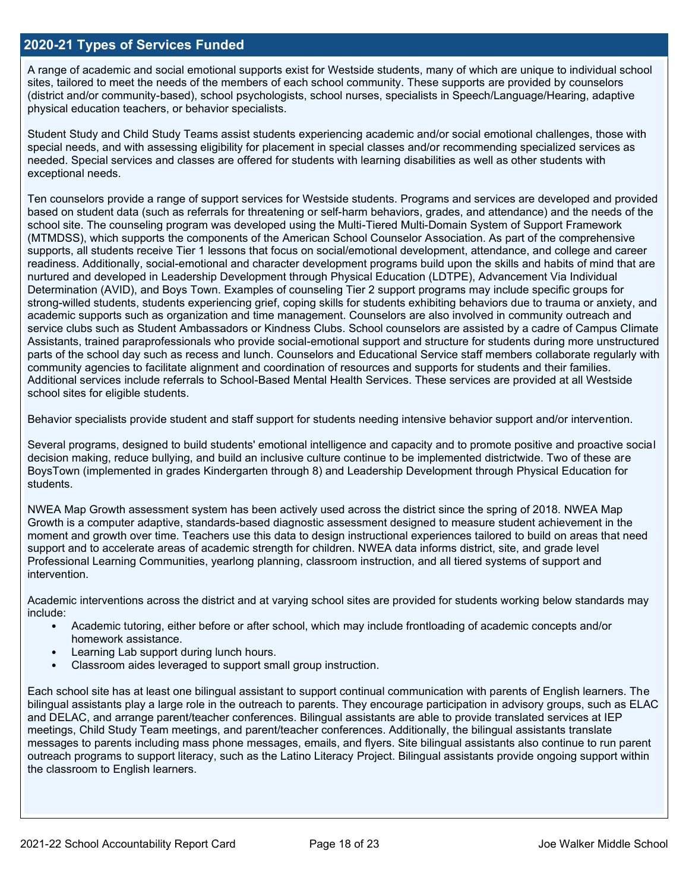#### **2020-21 Types of Services Funded**

A range of academic and social emotional supports exist for Westside students, many of which are unique to individual school sites, tailored to meet the needs of the members of each school community. These supports are provided by counselors (district and/or community-based), school psychologists, school nurses, specialists in Speech/Language/Hearing, adaptive physical education teachers, or behavior specialists.

Student Study and Child Study Teams assist students experiencing academic and/or social emotional challenges, those with special needs, and with assessing eligibility for placement in special classes and/or recommending specialized services as needed. Special services and classes are offered for students with learning disabilities as well as other students with exceptional needs.

Ten counselors provide a range of support services for Westside students. Programs and services are developed and provided based on student data (such as referrals for threatening or self-harm behaviors, grades, and attendance) and the needs of the school site. The counseling program was developed using the Multi-Tiered Multi-Domain System of Support Framework (MTMDSS), which supports the components of the American School Counselor Association. As part of the comprehensive supports, all students receive Tier 1 lessons that focus on social/emotional development, attendance, and college and career readiness. Additionally, social-emotional and character development programs build upon the skills and habits of mind that are nurtured and developed in Leadership Development through Physical Education (LDTPE), Advancement Via Individual Determination (AVID), and Boys Town. Examples of counseling Tier 2 support programs may include specific groups for strong-willed students, students experiencing grief, coping skills for students exhibiting behaviors due to trauma or anxiety, and academic supports such as organization and time management. Counselors are also involved in community outreach and service clubs such as Student Ambassadors or Kindness Clubs. School counselors are assisted by a cadre of Campus Climate Assistants, trained paraprofessionals who provide social-emotional support and structure for students during more unstructured parts of the school day such as recess and lunch. Counselors and Educational Service staff members collaborate regularly with community agencies to facilitate alignment and coordination of resources and supports for students and their families. Additional services include referrals to School-Based Mental Health Services. These services are provided at all Westside school sites for eligible students.

Behavior specialists provide student and staff support for students needing intensive behavior support and/or intervention.

Several programs, designed to build students' emotional intelligence and capacity and to promote positive and proactive social decision making, reduce bullying, and build an inclusive culture continue to be implemented districtwide. Two of these are BoysTown (implemented in grades Kindergarten through 8) and Leadership Development through Physical Education for students.

NWEA Map Growth assessment system has been actively used across the district since the spring of 2018. NWEA Map Growth is a computer adaptive, standards-based diagnostic assessment designed to measure student achievement in the moment and growth over time. Teachers use this data to design instructional experiences tailored to build on areas that need support and to accelerate areas of academic strength for children. NWEA data informs district, site, and grade level Professional Learning Communities, yearlong planning, classroom instruction, and all tiered systems of support and intervention.

Academic interventions across the district and at varying school sites are provided for students working below standards may include:

- Academic tutoring, either before or after school, which may include frontloading of academic concepts and/or homework assistance.
- Learning Lab support during lunch hours.
- Classroom aides leveraged to support small group instruction.

Each school site has at least one bilingual assistant to support continual communication with parents of English learners. The bilingual assistants play a large role in the outreach to parents. They encourage participation in advisory groups, such as ELAC and DELAC, and arrange parent/teacher conferences. Bilingual assistants are able to provide translated services at IEP meetings, Child Study Team meetings, and parent/teacher conferences. Additionally, the bilingual assistants translate messages to parents including mass phone messages, emails, and flyers. Site bilingual assistants also continue to run parent outreach programs to support literacy, such as the Latino Literacy Project. Bilingual assistants provide ongoing support within the classroom to English learners.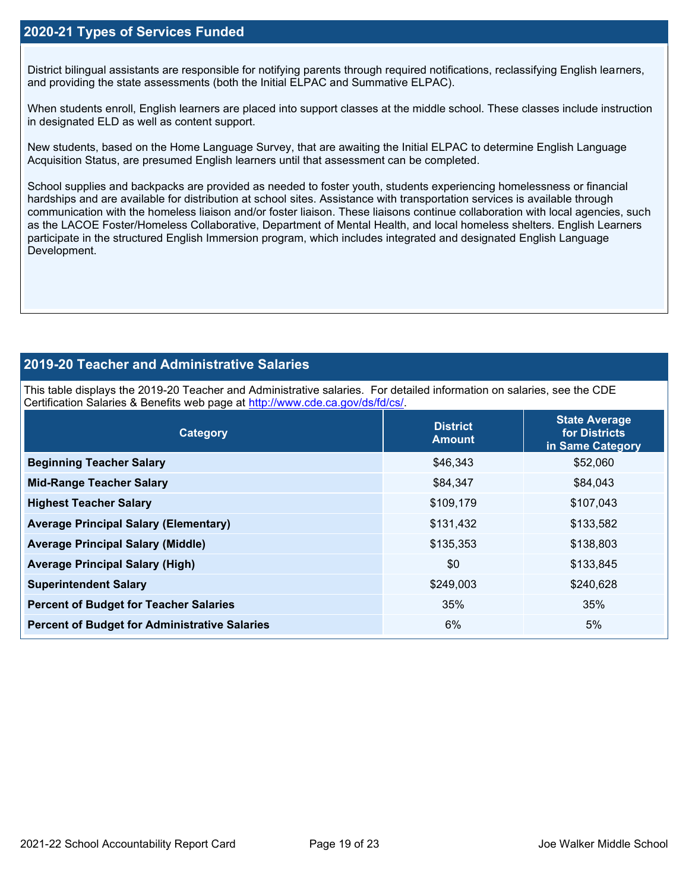### **2020-21 Types of Services Funded**

District bilingual assistants are responsible for notifying parents through required notifications, reclassifying English learners, and providing the state assessments (both the Initial ELPAC and Summative ELPAC).

When students enroll, English learners are placed into support classes at the middle school. These classes include instruction in designated ELD as well as content support.

New students, based on the Home Language Survey, that are awaiting the Initial ELPAC to determine English Language Acquisition Status, are presumed English learners until that assessment can be completed.

School supplies and backpacks are provided as needed to foster youth, students experiencing homelessness or financial hardships and are available for distribution at school sites. Assistance with transportation services is available through communication with the homeless liaison and/or foster liaison. These liaisons continue collaboration with local agencies, such as the LACOE Foster/Homeless Collaborative, Department of Mental Health, and local homeless shelters. English Learners participate in the structured English Immersion program, which includes integrated and designated English Language Development.

### **2019-20 Teacher and Administrative Salaries**

This table displays the 2019-20 Teacher and Administrative salaries. For detailed information on salaries, see the CDE Certification Salaries & Benefits web page at [http://www.cde.ca.gov/ds/fd/cs/.](http://www.cde.ca.gov/ds/fd/cs/)

| Category                                             | <b>District</b><br><b>Amount</b> | <b>State Average</b><br>for Districts<br>in Same Category |
|------------------------------------------------------|----------------------------------|-----------------------------------------------------------|
| <b>Beginning Teacher Salary</b>                      | \$46,343                         | \$52,060                                                  |
| <b>Mid-Range Teacher Salary</b>                      | \$84,347                         | \$84,043                                                  |
| <b>Highest Teacher Salary</b>                        | \$109,179                        | \$107,043                                                 |
| <b>Average Principal Salary (Elementary)</b>         | \$131,432                        | \$133,582                                                 |
| <b>Average Principal Salary (Middle)</b>             | \$135,353                        | \$138,803                                                 |
| <b>Average Principal Salary (High)</b>               | \$0                              | \$133,845                                                 |
| <b>Superintendent Salary</b>                         | \$249,003                        | \$240,628                                                 |
| <b>Percent of Budget for Teacher Salaries</b>        | 35%                              | 35%                                                       |
| <b>Percent of Budget for Administrative Salaries</b> | 6%                               | 5%                                                        |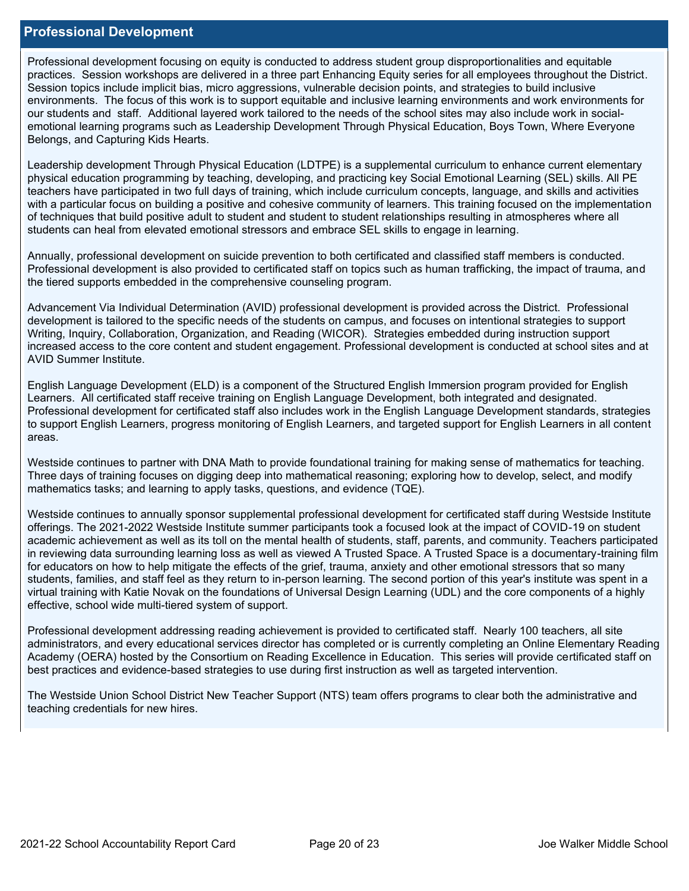#### **Professional Development**

Professional development focusing on equity is conducted to address student group disproportionalities and equitable practices. Session workshops are delivered in a three part Enhancing Equity series for all employees throughout the District. Session topics include implicit bias, micro aggressions, vulnerable decision points, and strategies to build inclusive environments. The focus of this work is to support equitable and inclusive learning environments and work environments for our students and staff. Additional layered work tailored to the needs of the school sites may also include work in socialemotional learning programs such as Leadership Development Through Physical Education, Boys Town, Where Everyone Belongs, and Capturing Kids Hearts.

Leadership development Through Physical Education (LDTPE) is a supplemental curriculum to enhance current elementary physical education programming by teaching, developing, and practicing key Social Emotional Learning (SEL) skills. All PE teachers have participated in two full days of training, which include curriculum concepts, language, and skills and activities with a particular focus on building a positive and cohesive community of learners. This training focused on the implementation of techniques that build positive adult to student and student to student relationships resulting in atmospheres where all students can heal from elevated emotional stressors and embrace SEL skills to engage in learning.

Annually, professional development on suicide prevention to both certificated and classified staff members is conducted. Professional development is also provided to certificated staff on topics such as human trafficking, the impact of trauma, and the tiered supports embedded in the comprehensive counseling program.

Advancement Via Individual Determination (AVID) professional development is provided across the District. Professional development is tailored to the specific needs of the students on campus, and focuses on intentional strategies to support Writing, Inquiry, Collaboration, Organization, and Reading (WICOR). Strategies embedded during instruction support increased access to the core content and student engagement. Professional development is conducted at school sites and at AVID Summer Institute.

English Language Development (ELD) is a component of the Structured English Immersion program provided for English Learners. All certificated staff receive training on English Language Development, both integrated and designated. Professional development for certificated staff also includes work in the English Language Development standards, strategies to support English Learners, progress monitoring of English Learners, and targeted support for English Learners in all content areas.

Westside continues to partner with DNA Math to provide foundational training for making sense of mathematics for teaching. Three days of training focuses on digging deep into mathematical reasoning; exploring how to develop, select, and modify mathematics tasks; and learning to apply tasks, questions, and evidence (TQE).

Westside continues to annually sponsor supplemental professional development for certificated staff during Westside Institute offerings. The 2021-2022 Westside Institute summer participants took a focused look at the impact of COVID-19 on student academic achievement as well as its toll on the mental health of students, staff, parents, and community. Teachers participated in reviewing data surrounding learning loss as well as viewed A Trusted Space. A Trusted Space is a documentary-training film for educators on how to help mitigate the effects of the grief, trauma, anxiety and other emotional stressors that so many students, families, and staff feel as they return to in-person learning. The second portion of this year's institute was spent in a virtual training with Katie Novak on the foundations of Universal Design Learning (UDL) and the core components of a highly effective, school wide multi-tiered system of support.

Professional development addressing reading achievement is provided to certificated staff. Nearly 100 teachers, all site administrators, and every educational services director has completed or is currently completing an Online Elementary Reading Academy (OERA) hosted by the Consortium on Reading Excellence in Education. This series will provide certificated staff on best practices and evidence-based strategies to use during first instruction as well as targeted intervention.

The Westside Union School District New Teacher Support (NTS) team offers programs to clear both the administrative and teaching credentials for new hires.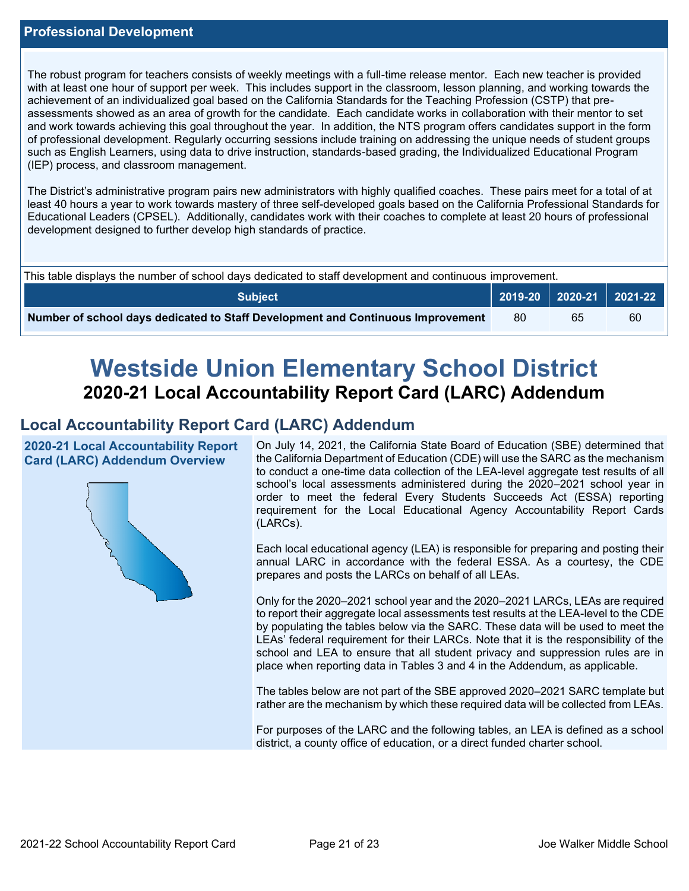The robust program for teachers consists of weekly meetings with a full-time release mentor. Each new teacher is provided with at least one hour of support per week. This includes support in the classroom, lesson planning, and working towards the achievement of an individualized goal based on the California Standards for the Teaching Profession (CSTP) that preassessments showed as an area of growth for the candidate. Each candidate works in collaboration with their mentor to set and work towards achieving this goal throughout the year. In addition, the NTS program offers candidates support in the form of professional development. Regularly occurring sessions include training on addressing the unique needs of student groups such as English Learners, using data to drive instruction, standards-based grading, the Individualized Educational Program (IEP) process, and classroom management.

The District's administrative program pairs new administrators with highly qualified coaches. These pairs meet for a total of at least 40 hours a year to work towards mastery of three self-developed goals based on the California Professional Standards for Educational Leaders (CPSEL). Additionally, candidates work with their coaches to complete at least 20 hours of professional development designed to further develop high standards of practice.

| This table displays the number of school days dedicated to staff development and continuous improvement. |     |    |    |  |  |
|----------------------------------------------------------------------------------------------------------|-----|----|----|--|--|
| <b>Subject</b>                                                                                           |     |    |    |  |  |
| Number of school days dedicated to Staff Development and Continuous Improvement                          | -80 | 65 | 60 |  |  |

# **Westside Union Elementary School District 2020-21 Local Accountability Report Card (LARC) Addendum**

## **Local Accountability Report Card (LARC) Addendum**

**2020-21 Local Accountability Report Card (LARC) Addendum Overview**



On July 14, 2021, the California State Board of Education (SBE) determined that the California Department of Education (CDE) will use the SARC as the mechanism to conduct a one-time data collection of the LEA-level aggregate test results of all school's local assessments administered during the 2020–2021 school year in order to meet the federal Every Students Succeeds Act (ESSA) reporting requirement for the Local Educational Agency Accountability Report Cards (LARCs).

Each local educational agency (LEA) is responsible for preparing and posting their annual LARC in accordance with the federal ESSA. As a courtesy, the CDE prepares and posts the LARCs on behalf of all LEAs.

Only for the 2020–2021 school year and the 2020–2021 LARCs, LEAs are required to report their aggregate local assessments test results at the LEA-level to the CDE by populating the tables below via the SARC. These data will be used to meet the LEAs' federal requirement for their LARCs. Note that it is the responsibility of the school and LEA to ensure that all student privacy and suppression rules are in place when reporting data in Tables 3 and 4 in the Addendum, as applicable.

The tables below are not part of the SBE approved 2020–2021 SARC template but rather are the mechanism by which these required data will be collected from LEAs.

For purposes of the LARC and the following tables, an LEA is defined as a school district, a county office of education, or a direct funded charter school.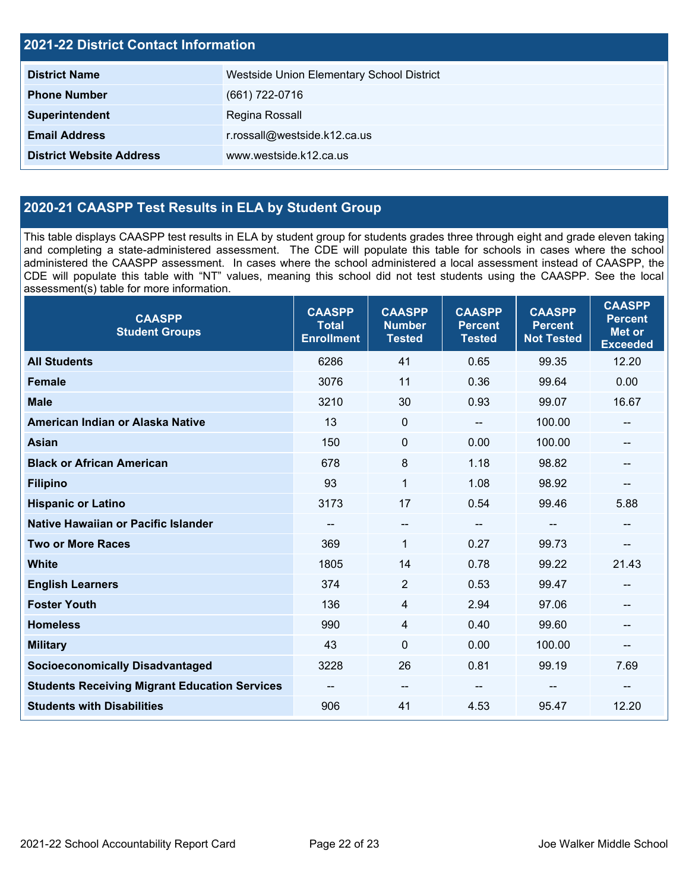| <b>2021-22 District Contact Information</b> |                                           |  |  |  |
|---------------------------------------------|-------------------------------------------|--|--|--|
| <b>District Name</b>                        | Westside Union Elementary School District |  |  |  |
| <b>Phone Number</b>                         | (661) 722-0716                            |  |  |  |
| Superintendent                              | Regina Rossall                            |  |  |  |
| <b>Email Address</b>                        | r.rossall@westside.k12.ca.us              |  |  |  |
| <b>District Website Address</b>             | www.westside.k12.ca.us                    |  |  |  |

## **2020-21 CAASPP Test Results in ELA by Student Group**

This table displays CAASPP test results in ELA by student group for students grades three through eight and grade eleven taking and completing a state-administered assessment. The CDE will populate this table for schools in cases where the school administered the CAASPP assessment. In cases where the school administered a local assessment instead of CAASPP, the CDE will populate this table with "NT" values, meaning this school did not test students using the CAASPP. See the local assessment(s) table for more information.

| <b>CAASPP</b><br><b>Student Groups</b>               | <b>CAASPP</b><br><b>Total</b><br><b>Enrollment</b> | <b>CAASPP</b><br><b>Number</b><br><b>Tested</b> | <b>CAASPP</b><br><b>Percent</b><br><b>Tested</b> | <b>CAASPP</b><br><b>Percent</b><br><b>Not Tested</b> | <b>CAASPP</b><br><b>Percent</b><br><b>Met or</b><br><b>Exceeded</b> |
|------------------------------------------------------|----------------------------------------------------|-------------------------------------------------|--------------------------------------------------|------------------------------------------------------|---------------------------------------------------------------------|
| <b>All Students</b>                                  | 6286                                               | 41                                              | 0.65                                             | 99.35                                                | 12.20                                                               |
| <b>Female</b>                                        | 3076                                               | 11                                              | 0.36                                             | 99.64                                                | 0.00                                                                |
| <b>Male</b>                                          | 3210                                               | 30                                              | 0.93                                             | 99.07                                                | 16.67                                                               |
| American Indian or Alaska Native                     | 13                                                 | $\mathbf 0$                                     | $\sim$ $\sim$                                    | 100.00                                               | --                                                                  |
| <b>Asian</b>                                         | 150                                                | $\pmb{0}$                                       | 0.00                                             | 100.00                                               |                                                                     |
| <b>Black or African American</b>                     | 678                                                | 8                                               | 1.18                                             | 98.82                                                | --                                                                  |
| <b>Filipino</b>                                      | 93                                                 | $\mathbf{1}$                                    | 1.08                                             | 98.92                                                | --                                                                  |
| <b>Hispanic or Latino</b>                            | 3173                                               | 17                                              | 0.54                                             | 99.46                                                | 5.88                                                                |
| <b>Native Hawaiian or Pacific Islander</b>           | --                                                 | $\overline{\phantom{a}}$                        | $\overline{\phantom{a}}$                         | $-$                                                  | --                                                                  |
| <b>Two or More Races</b>                             | 369                                                | $\mathbf{1}$                                    | 0.27                                             | 99.73                                                | --                                                                  |
| <b>White</b>                                         | 1805                                               | 14                                              | 0.78                                             | 99.22                                                | 21.43                                                               |
| <b>English Learners</b>                              | 374                                                | $\overline{2}$                                  | 0.53                                             | 99.47                                                | --                                                                  |
| <b>Foster Youth</b>                                  | 136                                                | 4                                               | 2.94                                             | 97.06                                                |                                                                     |
| <b>Homeless</b>                                      | 990                                                | $\overline{4}$                                  | 0.40                                             | 99.60                                                | --                                                                  |
| <b>Military</b>                                      | 43                                                 | $\mathbf 0$                                     | 0.00                                             | 100.00                                               | --                                                                  |
| <b>Socioeconomically Disadvantaged</b>               | 3228                                               | 26                                              | 0.81                                             | 99.19                                                | 7.69                                                                |
| <b>Students Receiving Migrant Education Services</b> | --                                                 | $\overline{\phantom{a}}$                        |                                                  | --                                                   | --                                                                  |
| <b>Students with Disabilities</b>                    | 906                                                | 41                                              | 4.53                                             | 95.47                                                | 12.20                                                               |